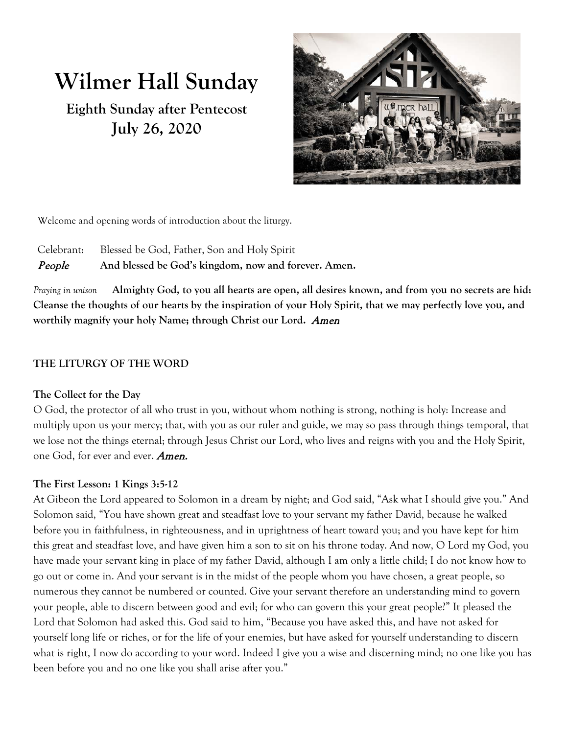# **Wilmer Hall Sunday**

**Eighth Sunday after Pentecost July 26, 2020**



Welcome and opening words of introduction about the liturgy.

Celebrant: Blessed be God, Father, Son and Holy Spirit People **And blessed be God's kingdom, now and forever. Amen.**

*Praying in unison* **Almighty God, to you all hearts are open, all desires known, and from you no secrets are hid: Cleanse the thoughts of our hearts by the inspiration of your Holy Spirit, that we may perfectly love you, and worthily magnify your holy Name; through Christ our Lord.** Amen

## **THE LITURGY OF THE WORD**

### **The Collect for the Day**

O God, the protector of all who trust in you, without whom nothing is strong, nothing is holy: Increase and multiply upon us your mercy; that, with you as our ruler and guide, we may so pass through things temporal, that we lose not the things eternal; through Jesus Christ our Lord, who lives and reigns with you and the Holy Spirit, one God, for ever and ever. **Amen.** 

# **The First Lesson: 1 Kings 3:5-12**

At Gibeon the Lord appeared to Solomon in a dream by night; and God said, "Ask what I should give you." And Solomon said, "You have shown great and steadfast love to your servant my father David, because he walked before you in faithfulness, in righteousness, and in uprightness of heart toward you; and you have kept for him this great and steadfast love, and have given him a son to sit on his throne today. And now, O Lord my God, you have made your servant king in place of my father David, although I am only a little child; I do not know how to go out or come in. And your servant is in the midst of the people whom you have chosen, a great people, so numerous they cannot be numbered or counted. Give your servant therefore an understanding mind to govern your people, able to discern between good and evil; for who can govern this your great people?" It pleased the Lord that Solomon had asked this. God said to him, "Because you have asked this, and have not asked for yourself long life or riches, or for the life of your enemies, but have asked for yourself understanding to discern what is right, I now do according to your word. Indeed I give you a wise and discerning mind; no one like you has been before you and no one like you shall arise after you."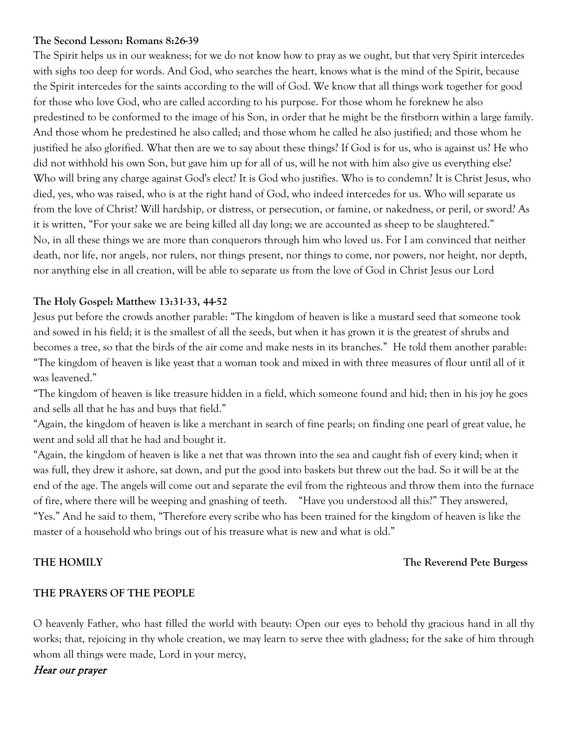#### **The Second Lesson: Romans 8:26-39**

The Spirit helps us in our weakness; for we do not know how to pray as we ought, but that very Spirit intercedes with sighs too deep for words. And God, who searches the heart, knows what is the mind of the Spirit, because the Spirit intercedes for the saints according to the will of God. We know that all things work together for good for those who love God, who are called according to his purpose. For those whom he foreknew he also predestined to be conformed to the image of his Son, in order that he might be the firstborn within a large family. And those whom he predestined he also called; and those whom he called he also justified; and those whom he justified he also glorified. What then are we to say about these things? If God is for us, who is against us? He who did not withhold his own Son, but gave him up for all of us, will he not with him also give us everything else? Who will bring any charge against God's elect? It is God who justifies. Who is to condemn? It is Christ Jesus, who died, yes, who was raised, who is at the right hand of God, who indeed intercedes for us. Who will separate us from the love of Christ? Will hardship, or distress, or persecution, or famine, or nakedness, or peril, or sword? As it is written, "For your sake we are being killed all day long; we are accounted as sheep to be slaughtered." No, in all these things we are more than conquerors through him who loved us. For I am convinced that neither death, nor life, nor angels, nor rulers, nor things present, nor things to come, nor powers, nor height, nor depth, nor anything else in all creation, will be able to separate us from the love of God in Christ Jesus our Lord

#### **The Holy Gospel: Matthew 13:31-33, 44-52**

Jesus put before the crowds another parable: "The kingdom of heaven is like a mustard seed that someone took and sowed in his field; it is the smallest of all the seeds, but when it has grown it is the greatest of shrubs and becomes a tree, so that the birds of the air come and make nests in its branches." He told them another parable: "The kingdom of heaven is like yeast that a woman took and mixed in with three measures of flour until all of it was leavened."

"The kingdom of heaven is like treasure hidden in a field, which someone found and hid; then in his joy he goes and sells all that he has and buys that field."

"Again, the kingdom of heaven is like a merchant in search of fine pearls; on finding one pearl of great value, he went and sold all that he had and bought it.

"Again, the kingdom of heaven is like a net that was thrown into the sea and caught fish of every kind; when it was full, they drew it ashore, sat down, and put the good into baskets but threw out the bad. So it will be at the end of the age. The angels will come out and separate the evil from the righteous and throw them into the furnace of fire, where there will be weeping and gnashing of teeth. "Have you understood all this?" They answered, "Yes." And he said to them, "Therefore every scribe who has been trained for the kingdom of heaven is like the master of a household who brings out of his treasure what is new and what is old."

#### **THE HOMILY The Reverend Pete Burgess**

#### **THE PRAYERS OF THE PEOPLE**

O heavenly Father, who hast filled the world with beauty: Open our eyes to behold thy gracious hand in all thy works; that, rejoicing in thy whole creation, we may learn to serve thee with gladness; for the sake of him through whom all things were made, Lord in your mercy,

#### Hear our prayer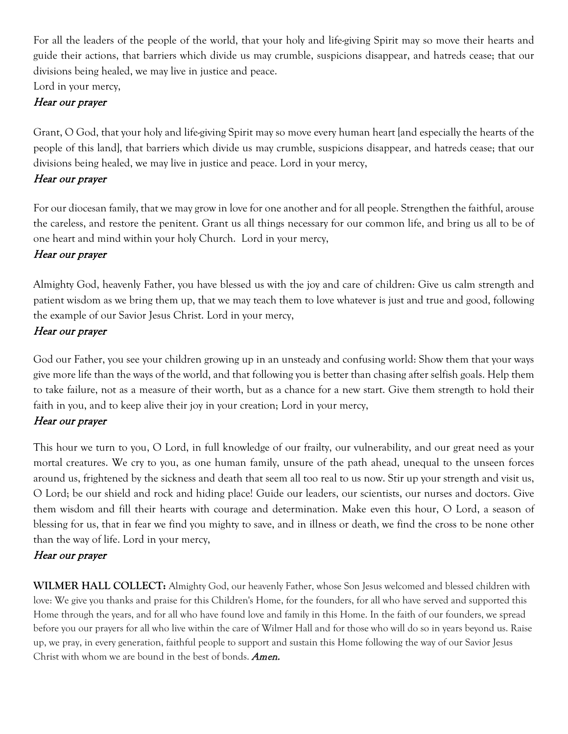For all the leaders of the people of the world, that your holy and life-giving Spirit may so move their hearts and guide their actions, that barriers which divide us may crumble, suspicions disappear, and hatreds cease; that our divisions being healed, we may live in justice and peace.

Lord in your mercy,

# Hear our prayer

Grant, O God, that your holy and life-giving Spirit may so move every human heart [and especially the hearts of the people of this land], that barriers which divide us may crumble, suspicions disappear, and hatreds cease; that our divisions being healed, we may live in justice and peace. Lord in your mercy,

# Hear our prayer

For our diocesan family, that we may grow in love for one another and for all people. Strengthen the faithful, arouse the careless, and restore the penitent. Grant us all things necessary for our common life, and bring us all to be of one heart and mind within your holy Church. Lord in your mercy,

# Hear our prayer

Almighty God, heavenly Father, you have blessed us with the joy and care of children: Give us calm strength and patient wisdom as we bring them up, that we may teach them to love whatever is just and true and good, following the example of our Savior Jesus Christ. Lord in your mercy,

# Hear our prayer

God our Father, you see your children growing up in an unsteady and confusing world: Show them that your ways give more life than the ways of the world, and that following you is better than chasing after selfish goals. Help them to take failure, not as a measure of their worth, but as a chance for a new start. Give them strength to hold their faith in you, and to keep alive their joy in your creation; Lord in your mercy,

# Hear our prayer

This hour we turn to you, O Lord, in full knowledge of our frailty, our vulnerability, and our great need as your mortal creatures. We cry to you, as one human family, unsure of the path ahead, unequal to the unseen forces around us, frightened by the sickness and death that seem all too real to us now. Stir up your strength and visit us, O Lord; be our shield and rock and hiding place! Guide our leaders, our scientists, our nurses and doctors. Give them wisdom and fill their hearts with courage and determination. Make even this hour, O Lord, a season of blessing for us, that in fear we find you mighty to save, and in illness or death, we find the cross to be none other than the way of life. Lord in your mercy,

# Hear our prayer

**WILMER HALL COLLECT:** Almighty God, our heavenly Father, whose Son Jesus welcomed and blessed children with love: We give you thanks and praise for this Children's Home, for the founders, for all who have served and supported this Home through the years, and for all who have found love and family in this Home. In the faith of our founders, we spread before you our prayers for all who live within the care of Wilmer Hall and for those who will do so in years beyond us. Raise up, we pray, in every generation, faithful people to support and sustain this Home following the way of our Savior Jesus Christ with whom we are bound in the best of bonds. **Amen.**